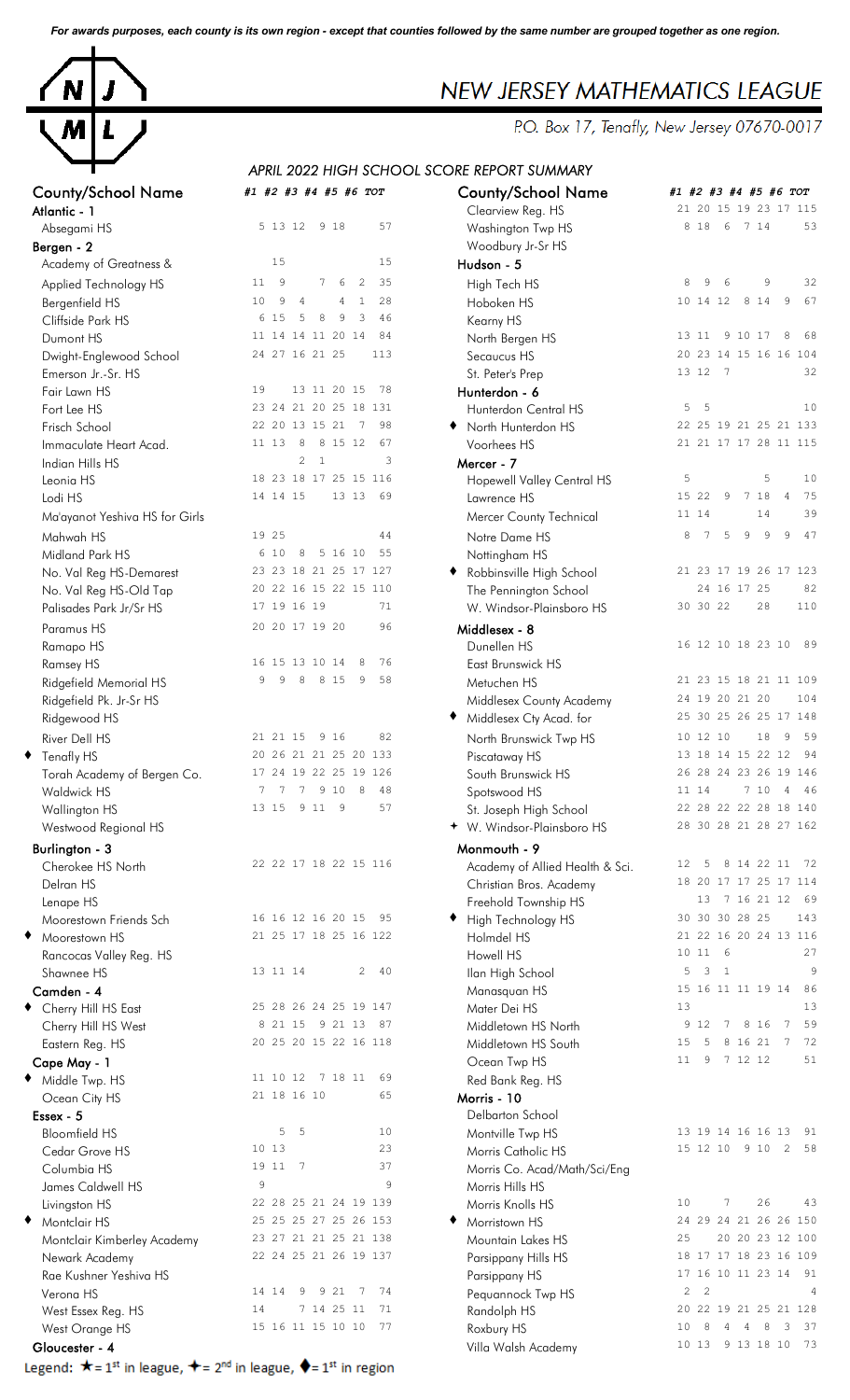*For awards purposes, each county is its own region - except that counties followed by the same number are grouped together as one region.*



# NEW JERSEY MATHEMATICS LEAGUE

P.O. Box 17, Tenafly, New Jersey 07670-0017

## **CHOOL SCORE REPORT SUMMARY**

|                                                                                                  |                                                | APRIL 2022 HIGH SCHOOL SCORE REPORT SUMMARY       |                         |
|--------------------------------------------------------------------------------------------------|------------------------------------------------|---------------------------------------------------|-------------------------|
| <b>County/School Name</b>                                                                        | #1 #2 #3 #4 #5 #6 TOT                          | <b>County/School Name</b>                         | #1                      |
| Atlantic - 1                                                                                     |                                                | Clearview Reg. HS                                 | $\overline{c}$          |
| Absegami HS                                                                                      | 57<br>5 13 12<br>9 18                          | Washington Twp HS                                 |                         |
| Bergen - 2                                                                                       |                                                | Woodbury Jr-Sr HS                                 |                         |
| Academy of Greatness &                                                                           | 15<br>15                                       | Hudson - 5                                        |                         |
| Applied Technology HS                                                                            | 7<br>11<br>9<br>6<br>2<br>35                   | High Tech HS                                      |                         |
| Bergenfield HS                                                                                   | $\mathbf{1}$<br>28<br>10<br>9<br>4<br>4        | Hoboken HS                                        | 1                       |
| Cliffside Park HS                                                                                | 3<br>6<br>15<br>5<br>8<br>9<br>46              | Kearny HS                                         |                         |
| Dumont HS                                                                                        | 84<br>11 14 14 11 20 14                        | North Bergen HS                                   | 1                       |
| Dwight-Englewood School                                                                          | 24 27 16 21 25<br>113                          | Secaucus HS                                       | $\overline{c}$          |
| Emerson Jr.-Sr. HS                                                                               |                                                | St. Peter's Prep                                  | $\mathbf{1}$            |
| Fair Lawn HS                                                                                     | 19<br>13 11 20 15<br>78                        | Hunterdon - 6                                     |                         |
| Fort Lee HS                                                                                      | 23 24 21 20 25 18 131                          | Hunterdon Central HS                              |                         |
| Frisch School                                                                                    | 22 20 13 15 21<br>98<br>- 7                    | North Hunterdon HS                                | $\overline{c}$          |
| Immaculate Heart Acad.                                                                           | 11 13<br>8<br>8 15 12<br>67                    | Voorhees HS                                       | $\overline{c}$          |
| Indian Hills HS                                                                                  | $\overline{c}$<br>$\mathbf{1}$<br>3            | Mercer - 7                                        |                         |
| Leonia HS                                                                                        | 23 18 17 25 15 116<br>18<br>14 14 15<br>69     | Hopewell Valley Central HS                        |                         |
| Lodi HS                                                                                          | 13 13                                          | Lawrence HS                                       | 1<br>$\mathbf{1}$       |
| Ma'ayanot Yeshiva HS for Girls                                                                   |                                                | Mercer County Technical                           |                         |
| Mahwah HS                                                                                        | 19 25<br>44<br>10<br>55                        | Notre Dame HS                                     |                         |
| Midland Park HS                                                                                  | 8<br>5 16 10<br>6                              | Nottingham HS                                     | $\overline{c}$          |
| No. Val Reg HS-Demarest                                                                          | 23 23 18 21 25 17 127<br>20 22 16 15 22 15 110 | Robbinsville High School                          |                         |
| No. Val Reg HS-Old Tap<br>Palisades Park Jr/Sr HS                                                | 17 19 16 19<br>71                              | The Pennington School<br>W. Windsor-Plainsboro HS | 3                       |
|                                                                                                  |                                                |                                                   |                         |
| Paramus HS                                                                                       | 20 20 17 19 20<br>96                           | Middlesex - 8                                     | 1                       |
| Ramapo HS                                                                                        | 16 15 13 10 14<br>76<br>8                      | Dunellen HS                                       |                         |
| Ramsey HS<br>Ridgefield Memorial HS                                                              | 9<br>9<br>8<br>8 1 5<br>58<br>9                | East Brunswick HS<br>Metuchen HS                  | $\overline{c}$          |
| Ridgefield Pk. Jr-Sr HS                                                                          |                                                | Middlesex County Academy                          | $\overline{c}$          |
| Ridgewood HS                                                                                     |                                                | Middlesex Cty Acad. for                           | $\overline{c}$          |
| River Dell HS                                                                                    | 82<br>21 21 15<br>9 16                         |                                                   | $\mathbf{1}$            |
| Tenafly HS                                                                                       | 26 21 21 25 20 133<br>20                       | North Brunswick Twp HS<br>Piscataway HS           | $\mathbf{1}$            |
| Torah Academy of Bergen Co.                                                                      | 17 24 19 22 25 19 126                          | South Brunswick HS                                | $\overline{c}$          |
| <b>Waldwick HS</b>                                                                               | 9<br>10<br>7<br>7<br>7<br>8<br>48              | Spotswood HS                                      | 1                       |
| Wallington HS                                                                                    | 57<br>13 15<br>9 1 1<br>9                      | St. Joseph High School                            | 2                       |
| Westwood Regional HS                                                                             |                                                | + W. Windsor-Plainsboro HS                        | $\overline{c}$          |
| <b>Burlington - 3</b>                                                                            |                                                | Monmouth - 9                                      |                         |
| Cherokee HS North                                                                                | 22 22 17 18 22 15 116                          | Academy of Allied Health & Sci.                   | 1                       |
| Delran HS                                                                                        |                                                | Christian Bros. Academy                           | 1                       |
| Lenape HS                                                                                        |                                                | Freehold Township HS                              |                         |
| Moorestown Friends Sch                                                                           | 16 16 12 16 20 15<br>95                        | High Technology HS                                | 3                       |
| Moorestown HS                                                                                    | 21 25 17 18 25 16 122                          | Holmdel HS                                        | $\overline{c}$          |
| Rancocas Valley Reg. HS                                                                          |                                                | Howell HS                                         | $\mathbf{1}$            |
| Shawnee HS                                                                                       | 40<br>13 11 14<br>2                            | Ilan High School                                  |                         |
| Camden - 4                                                                                       |                                                | Manasquan HS                                      | 1                       |
| Cherry Hill HS East                                                                              | 25 28 26 24 25 19 147                          | Mater Dei HS                                      | 1                       |
| Cherry Hill HS West                                                                              | 21 15<br>9 21 13<br>87<br>8                    | Middletown HS North                               |                         |
| Eastern Reg. HS                                                                                  | 20 25 20 15 22 16 118                          | Middletown HS South                               | 1<br>$\mathbf{1}$       |
| Cape May - 1                                                                                     | 11 10 12<br>7 18 11<br>69                      | Ocean Twp HS                                      |                         |
| Middle Twp. HS                                                                                   | 21 18 16 10<br>65                              | Red Bank Reg. HS                                  |                         |
| Ocean City HS<br>Essex - 5                                                                       |                                                | Morris - 10<br>Delbarton School                   |                         |
| <b>Bloomfield HS</b>                                                                             | 5<br>5<br>10                                   | Montville Twp HS                                  | $\mathbf{1}$            |
| Cedar Grove HS                                                                                   | 10 13<br>23                                    | Morris Catholic HS                                | $\mathbf{1}$            |
| Columbia HS                                                                                      | 19 11<br>7<br>37                               | Morris Co. Acad/Math/Sci/Eng                      |                         |
| James Caldwell HS                                                                                | 9<br>9                                         | Morris Hills HS                                   |                         |
| Livingston HS                                                                                    | 22 28 25 21 24 19 139                          | Morris Knolls HS                                  | $\mathbf{1}$            |
| Montclair HS                                                                                     | 25 25 25 27 25 26 153                          | Morristown HS                                     | $\overline{\mathbf{c}}$ |
| Montclair Kimberley Academy                                                                      | 23 27 21 21 25 21 138                          | Mountain Lakes HS                                 | $\overline{\mathbf{c}}$ |
| Newark Academy                                                                                   | 22 24 25 21 26 19 137                          | Parsippany Hills HS                               | 1                       |
| Rae Kushner Yeshiva HS                                                                           |                                                | Parsippany HS                                     | $\mathbf{1}$            |
| Verona HS                                                                                        | 21<br>74<br>14 14<br>9<br>9<br>7               | Pequannock Twp HS                                 |                         |
| West Essex Reg. HS                                                                               | 7 14 25 11<br>71<br>14                         | Randolph HS                                       | $\overline{\mathbf{c}}$ |
| West Orange HS                                                                                   | 15 16 11 15 10 10<br>77                        | Roxbury HS                                        | 1                       |
| Gloucester - 4                                                                                   |                                                | Villa Walsh Academy                               | $\mathbf{1}$            |
| Legend: ★= 1 <sup>st</sup> in league, ★= 2 <sup>nd</sup> in league, ◆= 1 <sup>st</sup> in region |                                                |                                                   |                         |

| <b>County/School Name</b><br>Atlantic - 1                                                                                | #1 #2 #3 #4 #5 #6 TOT                                        | <b>County/School Name</b><br>Clearview Reg. HS      | #1 #2 #3 #4 #5 #6 TOT<br>21 20 15 19 23 17 115                             |
|--------------------------------------------------------------------------------------------------------------------------|--------------------------------------------------------------|-----------------------------------------------------|----------------------------------------------------------------------------|
| Absegami HS                                                                                                              | 5 13 12 9 18<br>57                                           | Washington Twp HS                                   | 8 1 8<br>6<br>7 14<br>53                                                   |
| Bergen - 2<br>Academy of Greatness &                                                                                     | 15<br>15                                                     | Woodbury Jr-Sr HS<br>Hudson - 5                     |                                                                            |
| Applied Technology HS                                                                                                    | 9<br>7<br>2<br>35<br>11<br>6                                 | High Tech HS                                        | 8<br>9<br>6<br>9<br>32                                                     |
| Bergenfield HS                                                                                                           | 28<br>10<br>9<br>$\mathbf{1}$<br>$\overline{4}$<br>4         | Hoboken HS                                          | 67<br>10 14 12<br>8 1 4<br>9                                               |
| Cliffside Park HS                                                                                                        | 6 1 5<br>5<br>8<br>9<br>3<br>46                              | Kearny HS                                           |                                                                            |
| Dumont HS                                                                                                                | 84<br>11 14 14 11 20 14                                      | North Bergen HS                                     | 13 11<br>9 10 17<br>8<br>68                                                |
| Dwight-Englewood School                                                                                                  | 24 27 16 21 25<br>113                                        | Secaucus HS                                         | 20 23 14 15 16 16 104                                                      |
| Emerson Jr.-Sr. HS                                                                                                       |                                                              | St. Peter's Prep                                    | 13 12<br>$\overline{7}$<br>32                                              |
| Fair Lawn HS                                                                                                             | 19<br>13 11 20 15<br>78                                      | Hunterdon - 6                                       |                                                                            |
| Fort Lee HS                                                                                                              | 23 24 21 20 25 18 131<br>98                                  | Hunterdon Central HS                                | 5<br>-5<br>10                                                              |
| Frisch School                                                                                                            | 22 20 13 15 21 7<br>11 13<br>8<br>8 15 12<br>67              | North Hunterdon HS<br>Voorhees HS                   | 22 25 19 21 25 21 133<br>21 21 17 17 28 11 115                             |
| Immaculate Heart Acad.<br>Indian Hills HS                                                                                | $\overline{c}$<br>$\mathbf{1}$<br>3                          | Mercer - 7                                          |                                                                            |
| Leonia HS                                                                                                                | 18 23 18 17 25 15 116                                        | Hopewell Valley Central HS                          | 5<br>5<br>10                                                               |
| Lodi HS                                                                                                                  | 13 13<br>14 14 15<br>69                                      | Lawrence HS                                         | 7 18<br>15 22<br>9<br>$\overline{4}$<br>75                                 |
| Ma'ayanot Yeshiva HS for Girls                                                                                           |                                                              | Mercer County Technical                             | 39<br>11 14<br>14                                                          |
| Mahwah HS                                                                                                                | 19 25<br>44                                                  | Notre Dame HS                                       | 9<br>9<br>9<br>47<br>8<br>$7\phantom{.0}$<br>5                             |
| Midland Park HS                                                                                                          | 5 16 10<br>6 10<br>8<br>55                                   | Nottingham HS                                       |                                                                            |
| No. Val Reg HS-Demarest                                                                                                  | 23 23 18 21 25 17 127                                        | Robbinsville High School                            | 21 23 17 19 26 17 123                                                      |
| No. Val Reg HS-Old Tap                                                                                                   | 20 22 16 15 22 15 110                                        | The Pennington School                               | 82<br>24 16 17 25                                                          |
| Palisades Park Jr/Sr HS                                                                                                  | 17 19 16 19<br>71                                            | W. Windsor-Plainsboro HS                            | 30 30 22<br>28<br>110                                                      |
| Paramus HS                                                                                                               | 20 20 17 19 20<br>96                                         | Middlesex - 8                                       |                                                                            |
| Ramapo HS                                                                                                                |                                                              | Dunellen HS                                         | 16 12 10 18 23 10<br>89                                                    |
| Ramsey HS                                                                                                                | 76<br>16 15 13 10 14<br>8<br>9<br>8 1 5<br>9<br>58<br>9<br>8 | East Brunswick HS                                   | 21 23 15 18 21 11 109                                                      |
| Ridgefield Memorial HS<br>Ridgefield Pk. Jr-Sr HS                                                                        |                                                              | Metuchen HS                                         | 24 19 20 21 20<br>104                                                      |
| Ridgewood HS                                                                                                             |                                                              | Middlesex County Academy<br>Middlesex Cty Acad. for | 25 30 25 26 25 17 148                                                      |
| River Dell HS                                                                                                            | 82<br>21 21 15<br>9 16                                       | North Brunswick Twp HS                              | 10 12 10<br>18<br>9<br>59                                                  |
| ◆ Tenafly HS                                                                                                             | 20 26 21 21 25 20 133                                        | Piscataway HS                                       | 13 18 14 15 22 12<br>94                                                    |
| Torah Academy of Bergen Co.                                                                                              | 17 24 19 22 25 19 126                                        | South Brunswick HS                                  | 26 28 24 23 26 19 146                                                      |
| Waldwick HS                                                                                                              | 7 7 9 10 8<br>7<br>48                                        | Spotswood HS                                        | 7 10 4<br>11 14<br>- 46                                                    |
| Wallington HS                                                                                                            | 13 15 9 11<br>9<br>57                                        | St. Joseph High School                              | 22 28 22 22 28 18 140                                                      |
| Westwood Regional HS                                                                                                     |                                                              | + W. Windsor-Plainsboro HS                          | 28 30 28 21 28 27 162                                                      |
| Burlington - 3                                                                                                           |                                                              | Monmouth - 9                                        |                                                                            |
| Cherokee HS North                                                                                                        | 22 22 17 18 22 15 116                                        | Academy of Allied Health & Sci.                     | 8 14 22 11<br>12 <sup>°</sup><br>- 5<br>72                                 |
| Delran HS                                                                                                                |                                                              | Christian Bros. Academy                             | 18 20 17 17 25 17 114                                                      |
| Lenape HS                                                                                                                |                                                              | Freehold Township HS                                | 7 16 21 12<br>13<br>- 69                                                   |
| Moorestown Friends Sch<br>◆ Moorestown HS                                                                                | 16 16 12 16 20 15 95<br>21 25 17 18 25 16 122                | High Technology HS                                  | 30 30 30 28 25<br>143<br>21 22 16 20 24 13 116                             |
| Rancocas Valley Reg. HS                                                                                                  |                                                              | Holmdel HS<br>Howell HS                             | 10 11<br>6<br>27                                                           |
| Shawnee HS                                                                                                               | 13 11 14<br>$\overline{c}$<br>40                             | Ilan High School                                    | 5<br>3<br>$\mathbf{1}$<br>9                                                |
| Camden - 4                                                                                                               |                                                              | Manasquan HS                                        | 15 16 11 11 19 14<br>86                                                    |
| ◆ Cherry Hill HS East                                                                                                    | 25 28 26 24 25 19 147                                        | Mater Dei HS                                        | 13<br>13                                                                   |
| Cherry Hill HS West                                                                                                      | 8 21 15 9 21 13 87                                           | Middletown HS North                                 | 12<br>8 1 6<br>59<br>9<br>7<br>$\overline{7}$                              |
| Eastern Reg. HS                                                                                                          | 20 25 20 15 22 16 118                                        | Middletown HS South                                 | 8 16 21 7<br>72<br>15<br>-5                                                |
| Cape May - 1                                                                                                             |                                                              | Ocean Twp HS                                        | 7 12 12<br>11<br>9<br>51                                                   |
| ◆ Middle Twp. HS                                                                                                         | 11 10 12 7 18 11<br>69                                       | Red Bank Reg. HS                                    |                                                                            |
| Ocean City HS                                                                                                            | 21 18 16 10<br>65                                            | Morris - 10                                         |                                                                            |
| Essex - 5<br><b>Bloomfield HS</b>                                                                                        | 5<br>- 5<br>10                                               | Delbarton School                                    | 13 19 14 16 16 13<br>91                                                    |
| Cedar Grove HS                                                                                                           | 10 13<br>23                                                  | Montville Twp HS<br>Morris Catholic HS              | 15 12 10 9 10 2<br>58                                                      |
| Columbia HS                                                                                                              | 37<br>19 11 7                                                | Morris Co. Acad/Math/Sci/Eng                        |                                                                            |
| James Caldwell HS                                                                                                        | 9<br>9                                                       | Morris Hills HS                                     |                                                                            |
| Livingston HS                                                                                                            | 22 28 25 21 24 19 139                                        | Morris Knolls HS                                    | 7<br>26<br>10<br>43                                                        |
| Montclair HS<br>٠                                                                                                        | 25 25 25 27 25 26 153                                        | Morristown HS                                       | 24 29 24 21 26 26 150                                                      |
| Montclair Kimberley Academy                                                                                              | 23 27 21 21 25 21 138                                        | Mountain Lakes HS                                   | 20 20 23 12 100<br>25                                                      |
| Newark Academy                                                                                                           | 22 24 25 21 26 19 137                                        | Parsippany Hills HS                                 | 18 17 17 18 23 16 109                                                      |
| Rae Kushner Yeshiva HS                                                                                                   |                                                              | Parsippany HS                                       | 17 16 10 11 23 14<br>- 91                                                  |
| Verona HS                                                                                                                | 14 14<br>9 21<br>74<br>9<br>$\overline{7}$                   | Pequannock Twp HS                                   | $\overline{c}$<br>$\overline{2}$<br>4                                      |
| West Essex Reg. HS                                                                                                       | 7 14 25 11<br>71<br>14<br>15 16 11 15 10 10<br>77            | Randolph HS                                         | 22 19 21 25 21 128<br>20<br>10<br>8<br>$\overline{\phantom{a}}$<br>37<br>4 |
| West Orange HS<br>Gloucester - 4                                                                                         |                                                              | Roxbury HS                                          | 8 <sup>8</sup><br>- 4<br>10 13<br>9 13 18 10<br>- 73                       |
| Legend: $\bigstar = 1^{\text{st}}$ in league, $\bigstar = 2^{\text{nd}}$ in league, $\bigstar = 1^{\text{st}}$ in region |                                                              | Villa Walsh Academy                                 |                                                                            |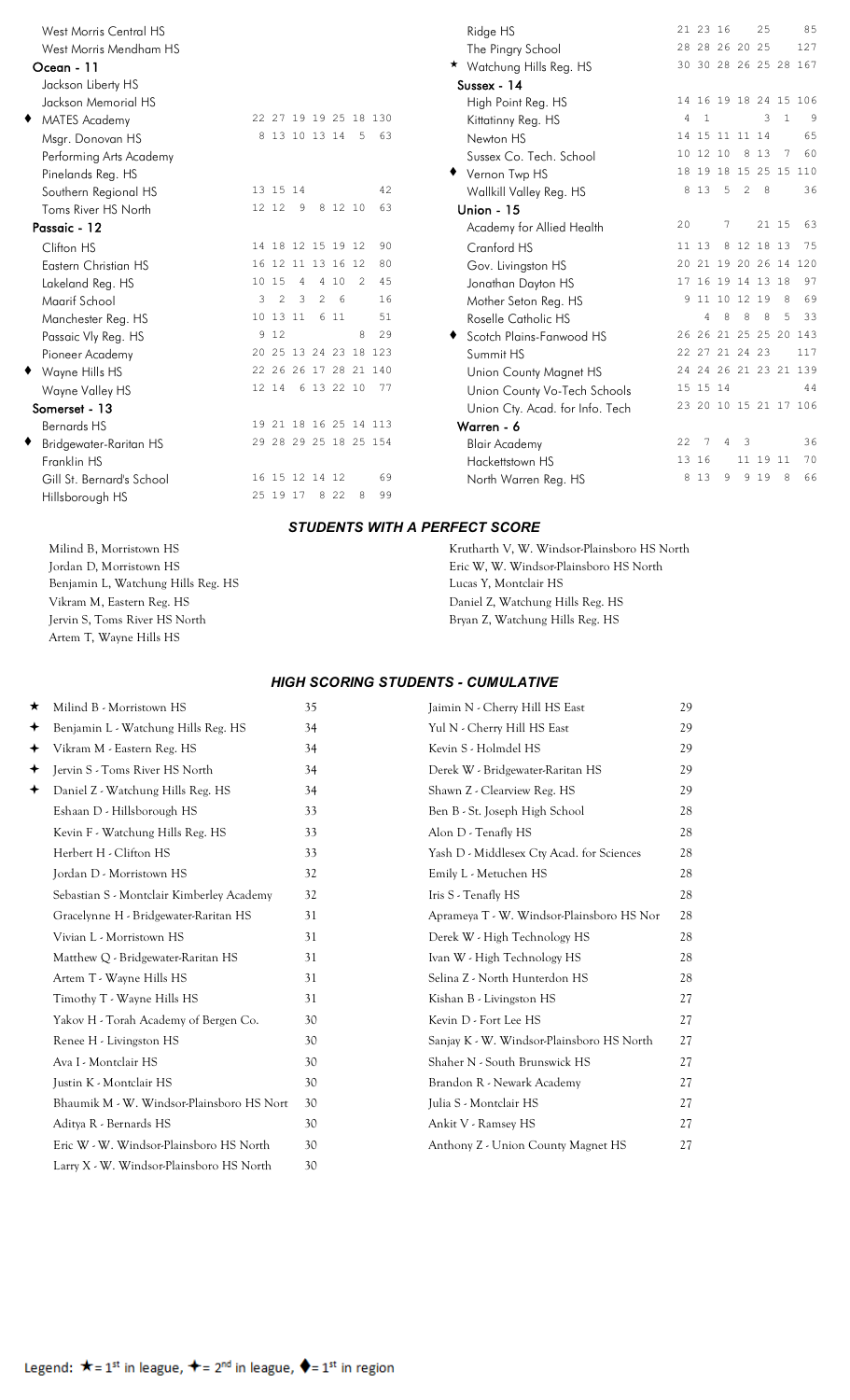| <b>West Morris Central HS</b> |   |                   |   |         |                |                       | Ridge HS                        |    | 21 23 16 |                   |             | 25          |                 | 85                    |
|-------------------------------|---|-------------------|---|---------|----------------|-----------------------|---------------------------------|----|----------|-------------------|-------------|-------------|-----------------|-----------------------|
| West Morris Mendham HS        |   |                   |   |         |                |                       | The Pingry School               |    |          | 28 28 26 20 25    |             |             |                 | 127                   |
| Ocean - 11                    |   |                   |   |         |                |                       | ★ Watchung Hills Reg. HS        |    |          |                   |             |             |                 | 30 30 28 26 25 28 167 |
| Jackson Liberty HS            |   |                   |   |         |                |                       | Sussex - 14                     |    |          |                   |             |             |                 |                       |
| Jackson Memorial HS           |   |                   |   |         |                |                       | High Point Reg. HS              |    |          |                   |             |             |                 | 14 16 19 18 24 15 106 |
| ٠<br><b>MATES Academy</b>     |   |                   |   |         |                | 22 27 19 19 25 18 130 | Kittatinny Reg. HS              | 4  | 1        |                   |             | 3           | 1               | 9                     |
| Msgr. Donovan HS              |   | 8 13 10 13 14     |   |         | - 5            | 63                    | Newton HS                       |    |          | 14 15 11 11 14    |             |             |                 | 65                    |
| Performing Arts Academy       |   |                   |   |         |                |                       | Sussex Co. Tech. School         |    | 10 12 10 |                   |             | 8 1 3       | $7\phantom{.0}$ | 60                    |
| Pinelands Reg. HS             |   |                   |   |         |                |                       | ◆ Vernon Twp HS                 |    |          |                   |             |             |                 | 18 19 18 15 25 15 110 |
| Southern Regional HS          |   | 13 15 14          |   |         |                | 42                    | Wallkill Valley Reg. HS         |    | 8 1 3 5  |                   |             | $2 \quad 8$ |                 | 36                    |
| Toms River HS North           |   | 12 12             | 9 | 8 12 10 |                | 63                    | <b>Union - 15</b>               |    |          |                   |             |             |                 |                       |
| Passaic - 12                  |   |                   |   |         |                |                       | Academy for Allied Health       | 20 |          | 7                 |             |             | 21 15           | 63                    |
| Clifton HS                    |   | 14 18 12 15 19 12 |   |         |                | 90                    | Cranford HS                     |    | 11 13    |                   | 8 12 18 13  |             |                 | 75                    |
| Eastern Christian HS          |   | 16 12 11 13 16 12 |   |         |                | 80                    | Gov. Livingston HS              |    |          |                   |             |             |                 | 20 21 19 20 26 14 120 |
| Lakeland Reg. HS              |   | 10 15             | 4 | 4 10    | $\overline{2}$ | 45                    | Jonathan Dayton HS              |    |          | 17 16 19 14 13 18 |             |             |                 | 97                    |
| Maarif School                 | 3 | 2                 | 3 | 2 6     |                | 16                    | Mother Seton Reg. HS            |    |          | 9 11 10 12 19     |             |             | 8               | 69                    |
| Manchester Reg. HS            |   | 10 13 11          |   | 6 11    |                | 51                    | Roselle Catholic HS             |    | 4        | 8                 | 8           | 8           | 5               | 33                    |
| Passaic Vly Reg. HS           |   | 9 1 2             |   |         | 8              | 29                    | Scotch Plains-Fanwood HS        |    |          |                   |             |             |                 | 26 26 21 25 25 20 143 |
| Pioneer Academy               |   |                   |   |         |                | 20 25 13 24 23 18 123 | Summit HS                       |    |          | 22 27 21 24 23    |             |             |                 | 117                   |
| ◆ Wayne Hills HS              |   |                   |   |         |                | 22 26 26 17 28 21 140 | Union County Magnet HS          |    |          |                   |             |             |                 | 24 24 26 21 23 21 139 |
| Wayne Valley HS               |   |                   |   |         |                | 12 14 6 13 22 10 77   | Union County Vo-Tech Schools    |    | 15 15 14 |                   |             |             |                 | 44                    |
| Somerset - 13                 |   |                   |   |         |                |                       | Union Cty. Acad. for Info. Tech |    |          |                   |             |             |                 | 23 20 10 15 21 17 106 |
| <b>Bernards HS</b>            |   |                   |   |         |                | 19 21 18 16 25 14 113 | Warren - 6                      |    |          |                   |             |             |                 |                       |
| Bridgewater-Raritan HS        |   |                   |   |         |                | 29 28 29 25 18 25 154 | <b>Blair Academy</b>            | 22 | 7        |                   | $4 \quad 3$ |             |                 | 36                    |
| Franklin HS                   |   |                   |   |         |                |                       | Hackettstown HS                 |    | 13 16    |                   |             | 11 19 11    |                 | 70                    |
| Gill St. Bernard's School     |   | 16 15 12 14 12    |   |         |                | 69                    | North Warren Reg. HS            |    | 8 1 3    | 9                 |             | 9 1 9       | 8               | 66                    |
| Hillsborough HS               |   | 25 19 17 8 22     |   |         | 8              | 99                    |                                 |    |          |                   |             |             |                 |                       |

Artem T, Wayne Hills HS

| West Morris Central HS        |                   |                |   |                 |                 |                       | 21 23 16<br>2.5<br>Ridge HS                                      |        | 85  |
|-------------------------------|-------------------|----------------|---|-----------------|-----------------|-----------------------|------------------------------------------------------------------|--------|-----|
| West Morris Mendham HS        |                   |                |   |                 |                 |                       | 28 28 26 20 25<br>The Pingry School                              |        | 127 |
| Ocean - 11                    |                   |                |   |                 |                 |                       | 30 30 28 26 25 28 167<br>★ Watchung Hills Reg. HS                |        |     |
| Jackson Liberty HS            |                   |                |   |                 |                 |                       | Sussex - 14                                                      |        |     |
| Jackson Memorial HS           |                   |                |   |                 |                 |                       | 14 16 19 18 24 15 106<br>High Point Reg. HS                      |        |     |
| MATES Academy                 |                   |                |   |                 |                 | 22 27 19 19 25 18 130 | 4<br>-1<br>Kittatinny Reg. HS                                    | 3<br>1 | 9   |
| Msgr. Donovan HS              |                   |                |   |                 | 8 13 10 13 14 5 | 63                    | 14 15 11 11 14<br>Newton HS                                      |        | 65  |
| Performing Arts Academy       |                   |                |   |                 |                 |                       | 10 12 10<br>8<br>13<br>Sussex Co. Tech. School                   | 7      | 60  |
| Pinelands Reg. HS             |                   |                |   |                 |                 |                       | 18 19 18 15 25 15 110<br>Vernon Twp HS                           |        |     |
| Southern Regional HS          | 13 15 14          |                |   |                 |                 | 42                    | 8 1 3<br>-5<br>2<br>Wallkill Valley Reg. HS                      | 8      | 36  |
| Toms River HS North           | 12 12             |                | 9 |                 | 8 12 10         | 63                    | <b>Union - 15</b>                                                |        |     |
| Passaic - 12                  |                   |                |   |                 |                 |                       | 20<br>7<br>Academy for Allied Health                             | 21 15  | 63  |
| Clifton HS                    | 14 18 12 15 19 12 |                |   |                 |                 | 90                    | 8 12 18 13<br>Cranford HS<br>11 13                               |        | -75 |
| Eastern Christian HS          | 16 12 11 13 16 12 |                |   |                 |                 | 80                    | 20 21 19 20 26 14 120<br>Gov. Livingston HS                      |        |     |
| Lakeland Reg. HS              | 10 15             |                | 4 | 410             | 2               | 45                    | 17 16 19 14 13 18<br>Jonathan Dayton HS                          |        | 97  |
| Maarif School                 | 3                 | $\mathfrak{D}$ | 3 | $2\overline{6}$ |                 | 16                    | 9 11 10 12 19<br>Mother Seton Reg. HS                            | - 8    | 69  |
| Manchester Reg. HS            | 10 13 11          |                |   | 6 1 1           |                 | 51                    | Roselle Catholic HS<br>8<br>8<br>4                               | 8<br>5 | -33 |
| Passaic Vly Reg. HS           | 9 1 2             |                |   |                 | 8               | 29                    | 26 26 21 25 25 20 143<br>Scotch Plains-Fanwood HS                |        |     |
| Pioneer Academy               |                   |                |   |                 |                 | 20 25 13 24 23 18 123 | Summit HS<br>22 27 21 24 23                                      |        | 117 |
| Wayne Hills HS                |                   |                |   |                 |                 | 22 26 26 17 28 21 140 | 24 24 26 21 23 21 139<br>Union County Magnet HS                  |        |     |
| Wayne Valley HS               | 12 14             |                |   |                 | 6 13 22 10      | 77                    | 15 15 14<br>Union County Vo-Tech Schools                         |        | 44  |
| Somerset - 13                 |                   |                |   |                 |                 |                       | 23 20 10 15 21 17 106<br>Union Cty. Acad. for Info. Tech         |        |     |
| <b>Bernards HS</b>            |                   |                |   |                 |                 | 19 21 18 16 25 14 113 | Warren - 6                                                       |        |     |
| <b>Bridgewater-Raritan HS</b> |                   |                |   |                 |                 | 29 28 29 25 18 25 154 | 22<br>-7<br>$\overline{\mathbf{3}}$<br>4<br><b>Blair Academy</b> |        | 36  |
| Franklin HS                   |                   |                |   |                 |                 |                       | 13 16<br>11 19 11<br>Hackettstown HS                             |        | 70  |
| Gill St. Bernard's School     | 16 15 12 14 12    |                |   |                 |                 | 69                    | 8 1 3<br>9 1 9<br>9<br>North Warren Reg. HS                      | 8      | 66  |
|                               | $0 - 10 - 17$     |                |   | $\sim$ $\sim$   |                 | $\sim$ $\sim$         |                                                                  |        |     |

#### *STUDENTS WITH A PERFECT SCORE*

Milind B, Morristown HS **Krutharth V, W. Windsor-Plainsboro HS North** Jordan D, Morristown HS Eric W, W. Windsor-Plainsboro HS North Benjamin L, Watchung Hills Reg. HS Lucas Y, Montclair HS Vikram M, Eastern Reg. HS Daniel Z, Watchung Hills Reg. HS Jervin S, Toms River HS North Bryan Z, Watchung Hills Reg. HS

#### *HIGH SCORING STUDENTS - CUMULATIVE*

| ★ | Milind B - Morristown HS                  | 35 | Jaimin N - Cherry Hill HS East            | 29 |
|---|-------------------------------------------|----|-------------------------------------------|----|
| ✦ | Benjamin L - Watchung Hills Reg. HS       | 34 | Yul N - Cherry Hill HS East               | 29 |
| ✦ | Vikram M - Eastern Reg. HS                | 34 | Kevin S - Holmdel HS                      | 29 |
| ✦ | Jervin S - Toms River HS North            | 34 | Derek W - Bridgewater-Raritan HS          | 29 |
| ✦ | Daniel Z - Watchung Hills Reg. HS         | 34 | Shawn Z - Clearview Reg. HS               | 29 |
|   | Eshaan D - Hillsborough HS                | 33 | Ben B - St. Joseph High School            | 28 |
|   | Kevin F - Watchung Hills Reg. HS          | 33 | Alon D - Tenafly HS                       | 28 |
|   | Herbert H - Clifton HS                    | 33 | Yash D - Middlesex Cty Acad. for Sciences | 28 |
|   | Jordan D - Morristown HS                  | 32 | Emily L - Metuchen HS                     | 28 |
|   | Sebastian S - Montclair Kimberley Academy | 32 | Iris S - Tenafly HS                       | 28 |
|   | Gracelynne H - Bridgewater-Raritan HS     | 31 | Aprameya T - W. Windsor-Plainsboro HS Nor | 28 |
|   | Vivian L - Morristown HS                  | 31 | Derek W - High Technology HS              | 28 |
|   | Matthew Q - Bridgewater-Raritan HS        | 31 | Ivan W - High Technology HS               | 28 |
|   | Artem T - Wayne Hills HS                  | 31 | Selina Z - North Hunterdon HS             | 28 |
|   | Timothy T - Wayne Hills HS                | 31 | Kishan B - Livingston HS                  | 27 |
|   | Yakov H - Torah Academy of Bergen Co.     | 30 | Kevin D - Fort Lee HS                     | 27 |
|   | Renee H - Livingston HS                   | 30 | Sanjay K - W. Windsor-Plainsboro HS North | 27 |
|   | Ava I - Montclair HS                      | 30 | Shaher N - South Brunswick HS             | 27 |
|   | Justin K - Montclair HS                   | 30 | Brandon R - Newark Academy                | 27 |
|   | Bhaumik M - W. Windsor-Plainsboro HS Nort | 30 | Julia S - Montclair HS                    | 27 |
|   | Aditya R - Bernards HS                    | 30 | Ankit V - Ramsey HS                       | 27 |
|   | Eric W - W. Windsor-Plainsboro HS North   | 30 | Anthony Z - Union County Magnet HS        | 27 |
|   | Larry X - W. Windsor-Plainsboro HS North  | 30 |                                           |    |